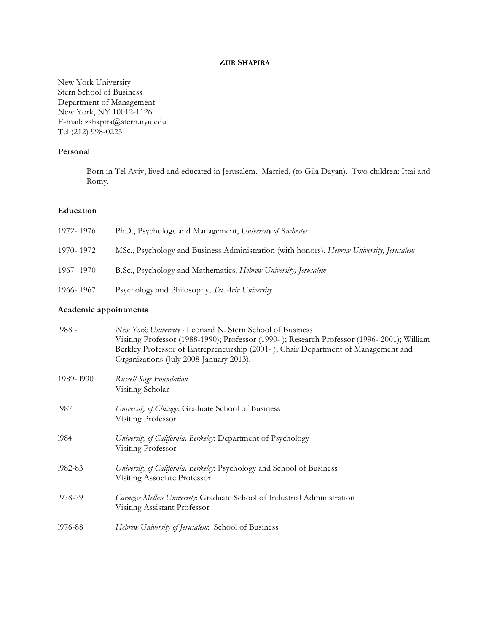# **ZUR SHAPIRA**

New York University Stern School of Business Department of Management New York, NY 10012-1126 E-mail: zshapira@stern.nyu.edu Tel (212) 998-0225

# **Personal**

Born in Tel Aviv, lived and educated in Jerusalem. Married, (to Gila Dayan). Two children: Ittai and Romy.

## **Education**

| 1972-1976 | PhD., Psychology and Management, University of Rochester                                                |
|-----------|---------------------------------------------------------------------------------------------------------|
| 1970-1972 | MSc., Psychology and Business Administration (with honors), <i>Hebrew University</i> , <i>Jerusalem</i> |
| 1967-1970 | B.Sc., Psychology and Mathematics, <i>Hebrew University</i> , Jerusalem                                 |
| 1966-1967 | Psychology and Philosophy, Tel Aviv University                                                          |

# **Academic appointments**

| 1988 -    | New York University - Leonard N. Stern School of Business<br>Visiting Professor (1988-1990); Professor (1990-); Research Professor (1996-2001); William<br>Berkley Professor of Entrepreneurship (2001-); Chair Department of Management and<br>Organizations (July 2008-January 2013). |
|-----------|-----------------------------------------------------------------------------------------------------------------------------------------------------------------------------------------------------------------------------------------------------------------------------------------|
| 1989-1990 | <b>Russell Sage Foundation</b><br>Visiting Scholar                                                                                                                                                                                                                                      |
| 1987      | University of Chicago: Graduate School of Business<br>Visiting Professor                                                                                                                                                                                                                |
| 1984      | University of California, Berkeley: Department of Psychology<br>Visiting Professor                                                                                                                                                                                                      |
| 1982-83   | University of California, Berkeley: Psychology and School of Business<br>Visiting Associate Professor                                                                                                                                                                                   |
| 1978-79   | Carnegie Mellon University: Graduate School of Industrial Administration<br>Visiting Assistant Professor                                                                                                                                                                                |
| 1976-88   | <i>Hebrew University of Jerusalem:</i> School of Business                                                                                                                                                                                                                               |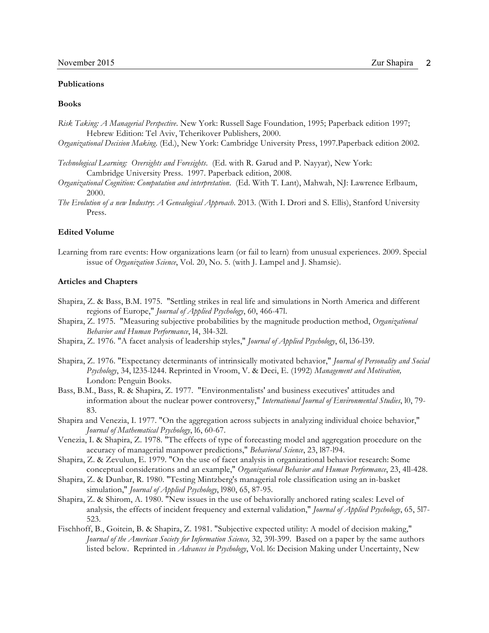#### **Publications**

### **Books**

- *Risk Taking: A Managerial Perspective*. New York: Russell Sage Foundation, 1995; Paperback edition 1997; Hebrew Edition: Tel Aviv, Tcherikover Publishers, 2000.
- *Organizational Decision Making*. (Ed.), New York: Cambridge University Press, 1997.Paperback edition 2002.
- *Technological Learning: Oversights and Foresights*. (Ed. with R. Garud and P. Nayyar), New York: Cambridge University Press. 1997. Paperback edition, 2008.
- *Organizational Cognition: Computation and interpretation*. (Ed. With T. Lant), Mahwah, NJ: Lawrence Erlbaum, 2000.
- *The Evolution of a new Industry*: *A Genealogical Approach*. 2013. (With I. Drori and S. Ellis), Stanford University Press.

## **Edited Volume**

Learning from rare events: How organizations learn (or fail to learn) from unusual experiences. 2009. Special issue of *Organization Science*, Vol. 20, No. 5. (with J. Lampel and J. Shamsie).

## **Articles and Chapters**

- Shapira, Z. & Bass, B.M. 1975. "Settling strikes in real life and simulations in North America and different regions of Europe," *Journal of Applied Psychology*, 60, 466-47l.
- Shapira, Z. 1975. "Measuring subjective probabilities by the magnitude production method, *Organizational Behavior and Human Performance*, l4, 3l4-32l.
- Shapira, Z. 1976. "A facet analysis of leadership styles," *Journal of Applied Psychology*, 6l, l36-l39.
- Shapira, Z. 1976. "Expectancy determinants of intrinsically motivated behavior," *Journal of Personality and Social Psychology*, 34, l235-l244. Reprinted in Vroom, V. & Deci, E. (1992) *Management and Motivation,* London: Penguin Books.
- Bass, B.M., Bass, R. & Shapira, Z. 1977. "Environmentalists' and business executives' attitudes and information about the nuclear power controversy," *International Journal of Environmental Studies*, l0, 79- 83.
- Shapira and Venezia, I. 1977. "On the aggregation across subjects in analyzing individual choice behavior," *Journal of Mathematical Psychology*, l6, 60-67.
- Venezia, I. & Shapira, Z. 1978. "The effects of type of forecasting model and aggregation procedure on the accuracy of managerial manpower predictions," *Behavioral Science*, 23, l87-l94.
- Shapira, Z. & Zevulun, E. 1979. "On the use of facet analysis in organizational behavior research: Some conceptual considerations and an example," *Organizational Behavior and Human Performance*, 23, 4ll-428.
- Shapira, Z. & Dunbar, R. 1980. "Testing Mintzberg's managerial role classification using an in-basket simulation," *Journal of Applied Psychology*, l980, 65, 87-95.
- Shapira, Z. & Shirom, A. 1980. "New issues in the use of behaviorally anchored rating scales: Level of analysis, the effects of incident frequency and external validation," *Journal of Applied Psychology*, 65, 5l7- 523.
- Fischhoff, B., Goitein, B. & Shapira, Z. 1981. "Subjective expected utility: A model of decision making," *Journal of the American Society for Information Science,* 32, 39l-399. Based on a paper by the same authors listed below. Reprinted in *Advances in Psychology*, Vol. l6: Decision Making under Uncertainty, New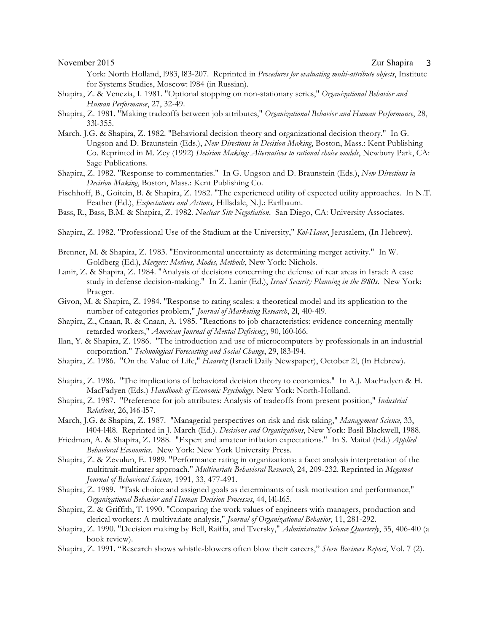- York: North Holland, l983, l83-207. Reprinted in *Procedures for evaluating multi-attribute objects*, Institute for Systems Studies, Moscow: l984 (in Russian).
- Shapira, Z. & Venezia, I. 1981. "Optional stopping on non-stationary series," *Organizational Behavior and Human Performance*, 27, 32-49.
- Shapira, Z. 1981. "Making tradeoffs between job attributes," *Organizational Behavior and Human Performance*, 28, 33l-355.
- March. J.G. & Shapira, Z. 1982. "Behavioral decision theory and organizational decision theory." In G. Ungson and D. Braunstein (Eds.), *New Directions in Decision Making*, Boston, Mass.: Kent Publishing Co. Reprinted in M. Zey (1992) *Decision Making: Alternatives to rational choice models*, Newbury Park, CA: Sage Publications.
- Shapira, Z. 1982. "Response to commentaries." In G. Ungson and D. Braunstein (Eds.), *New Directions in Decision Making*, Boston, Mass.: Kent Publishing Co.
- Fischhoff, B., Goitein, B. & Shapira, Z. 1982. "The experienced utility of expected utility approaches. In N.T. Feather (Ed.), *Expectations and Actions*, Hillsdale, N.J.: Earlbaum.
- Bass, R., Bass, B.M. & Shapira, Z. 1982*. Nuclear Site Negotiation*. San Diego, CA: University Associates.
- Shapira, Z. 1982. "Professional Use of the Stadium at the University," *Kol-Haeer*, Jerusalem, (In Hebrew).
- Brenner, M. & Shapira, Z. 1983. "Environmental uncertainty as determining merger activity." In W. Goldberg (Ed.), *Mergers: Motives, Modes, Methods*, New York: Nichols.
- Lanir, Z. & Shapira, Z. 1984. "Analysis of decisions concerning the defense of rear areas in Israel: A case study in defense decision-making." In Z. Lanir (Ed.), *Israel Security Planning in the l980s*. New York: Praeger.
- Givon, M. & Shapira, Z. 1984. "Response to rating scales: a theoretical model and its application to the number of categories problem," *Journal of Marketing Research*, 2l, 4l0-4l9.
- Shapira, Z., Cnaan, R. & Cnaan, A. 1985. "Reactions to job characteristics: evidence concerning mentally retarded workers," *American Journal of Mental Deficiency*, 90, l60-l66.
- Ilan, Y. & Shapira, Z. 1986. "The introduction and use of microcomputers by professionals in an industrial corporation." *Technological Forecasting and Social Change*, 29, l83-l94.
- Shapira, Z. 1986. "On the Value of Life," *Haaretz* (Israeli Daily Newspaper), October 2l, (In Hebrew).
- Shapira, Z. 1986. "The implications of behavioral decision theory to economics." In A.J. MacFadyen & H. MacFadyen (Eds.) *Handbook of Economic Psychology*, New York: North-Holland.
- Shapira, Z. 1987. "Preference for job attributes: Analysis of tradeoffs from present position," *Industrial Relations*, 26, l46-l57.
- March, J.G. & Shapira, Z. 1987. "Managerial perspectives on risk and risk taking," *Management Science*, 33, l404-l4l8. Reprinted in J. March (Ed.). *Decisions and Organizations*, New York: Basil Blackwell, 1988.
- Friedman, A. & Shapira, Z. 1988. "Expert and amateur inflation expectations." In S. Maital (Ed.) *Applied Behavioral Economics*. New York: New York University Press.
- Shapira, Z. & Zevulun, E. 1989. "Performance rating in organizations: a facet analysis interpretation of the multitrait-multirater approach," *Multivariate Behavioral Research*, 24, 209-232. Reprinted in *Megamot Journal of Behavioral Science,* 1991, 33, 477-491.
- Shapira, Z. 1989. "Task choice and assigned goals as determinants of task motivation and performance," *Organizational Behavior and Human Decision Processes*, 44, l4l-l65.
- Shapira, Z. & Griffith, T. 1990. "Comparing the work values of engineers with managers, production and clerical workers: A multivariate analysis," *Journal of Organizational Behavior*, 11, 281-292.
- Shapira, Z. 1990. "Decision making by Bell, Raiffa, and Tversky," *Administrative Science Quarterly*, 35, 406-4l0 (a book review).
- Shapira, Z. 1991. "Research shows whistle-blowers often blow their careers," *Stern Business Report*, Vol. 7 (2).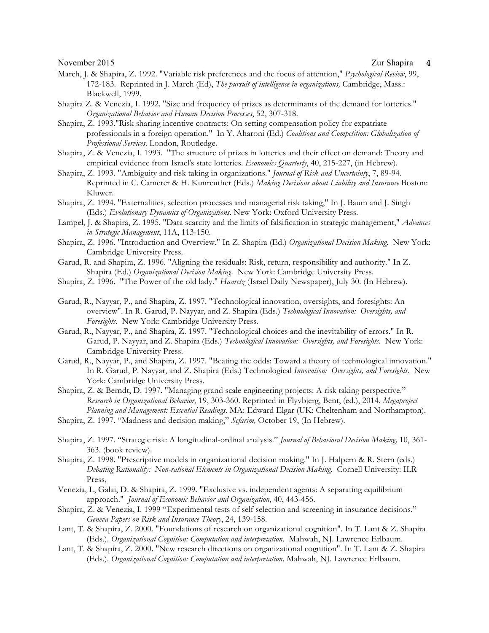- March, J. & Shapira, Z. 1992. "Variable risk preferences and the focus of attention," *Psychological Review*, 99, 172-183. Reprinted in J. March (Ed), *The pursuit of intelligence in organizations,* Cambridge, Mass.: Blackwell, 1999.
- Shapira Z. & Venezia, I. 1992. "Size and frequency of prizes as determinants of the demand for lotteries." *Organizational Behavior and Human Decision Processes*, 52, 307-318.
- Shapira, Z. 1993."Risk sharing incentive contracts: On setting compensation policy for expatriate professionals in a foreign operation." In Y. Aharoni (Ed.) *Coalitions and Competition: Globalization of Professional Services*. London, Routledge.
- Shapira, Z. & Venezia, I. 1993. "The structure of prizes in lotteries and their effect on demand: Theory and empirical evidence from Israel's state lotteries. *Economics Quarterly*, 40, 215-227, (in Hebrew).
- Shapira, Z. 1993. "Ambiguity and risk taking in organizations." *Journal of Risk and Uncertainty*, 7, 89-94. Reprinted in C. Camerer & H. Kunreuther (Eds.) *Making Decisions about Liability and Insurance* Boston: Kluwer.
- Shapira, Z. 1994. "Externalities, selection processes and managerial risk taking," In J. Baum and J. Singh (Eds.) *Evolutionary Dynamics of Organizations*. New York: Oxford University Press.
- Lampel, J. & Shapira, Z. 1995. "Data scarcity and the limits of falsification in strategic management," *Advances in Strategic Management*, 11A, 113-150.
- Shapira, Z. 1996. "Introduction and Overview." In Z. Shapira (Ed.) *Organizational Decision Making*. New York: Cambridge University Press.
- Garud, R. and Shapira, Z. 1996. "Aligning the residuals: Risk, return, responsibility and authority." In Z. Shapira (Ed.) *Organizational Decision Making*. New York: Cambridge University Press.
- Shapira, Z. 1996. "The Power of the old lady." *Haaretz* (Israel Daily Newspaper), July 30. (In Hebrew).
- Garud, R., Nayyar, P., and Shapira, Z. 1997. "Technological innovation, oversights, and foresights: An overview". In R. Garud, P. Nayyar, and Z. Shapira (Eds.) *Technological Innovation: Oversights, and Foresights*. New York: Cambridge University Press.
- Garud, R., Nayyar, P., and Shapira, Z. 1997. "Technological choices and the inevitability of errors." In R. Garud, P. Nayyar, and Z. Shapira (Eds.) *Technological Innovation: Oversights, and Foresights*. New York: Cambridge University Press.
- Garud, R., Nayyar, P., and Shapira, Z. 1997. "Beating the odds: Toward a theory of technological innovation." In R. Garud, P. Nayyar, and Z. Shapira (Eds.) Technological *Innovation: Oversights, and Foresights*. New York: Cambridge University Press.

Shapira, Z. & Berndt, D. 1997. "Managing grand scale engineering projects: A risk taking perspective." *Research in Organizational Behavior*, 19, 303-360. Reprinted in Flyvbjerg, Bent, (ed.), 2014. *Megaproject Planning and Management: Essential Readings*. MA: Edward Elgar (UK: Cheltenham and Northampton).

- Shapira, Z. 1997. "Madness and decision making," *Sefarim,* October 19, (In Hebrew).
- Shapira, Z. 1997. "Strategic risk: A longitudinal-ordinal analysis." *Journal of Behavioral Decision Making,* 10, 361- 363. (book review).
- Shapira, Z. 1998. "Prescriptive models in organizational decision making." In J. Halpern & R. Stern (eds.) *Debating Rationality: Non-rational Elements in Organizational Decision Making*. Cornell University: ILR Press,
- Venezia, I., Galai, D. & Shapira, Z. 1999. "Exclusive vs. independent agents: A separating equilibrium approach." *Journal of Economic Behavior and Organization*, 40, 443-456.
- Shapira, Z. & Venezia, I. 1999 "Experimental tests of self selection and screening in insurance decisions." *Geneva Papers on Risk and Insurance Theory*, 24, 139-158.
- Lant, T. & Shapira, Z. 2000. "Foundations of research on organizational cognition". In T. Lant & Z. Shapira (Eds.). *Organizational Cognition: Computation and interpretation*. Mahwah, NJ. Lawrence Erlbaum.
- Lant, T. & Shapira, Z. 2000. "New research directions on organizational cognition". In T. Lant & Z. Shapira (Eds.). *Organizational Cognition: Computation and interpretation*. Mahwah, NJ. Lawrence Erlbaum.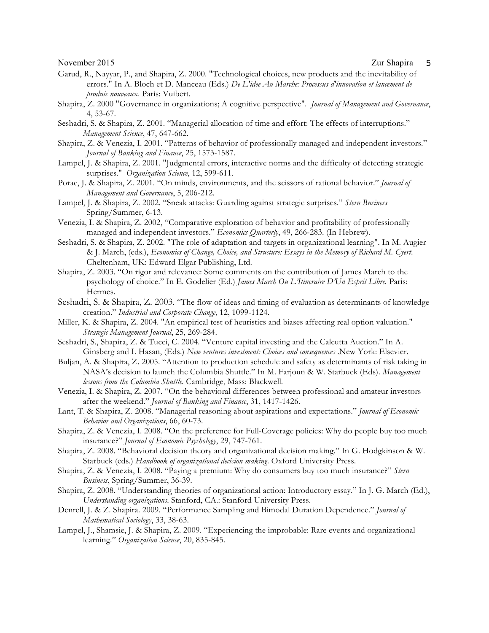- Garud, R., Nayyar, P., and Shapira, Z. 2000. "Technological choices, new products and the inevitability of errors." In A. Bloch et D. Manceau (Eds.) *De L'idee Au Marche: Processus d'innovation et lancement de produis nouveaux*. Paris: Vuibert.
- Shapira, Z. 2000 "Governance in organizations; A cognitive perspective". *Journal of Management and Governance*, 4, 53-67.
- Seshadri, S. & Shapira, Z. 2001. "Managerial allocation of time and effort: The effects of interruptions." *Management Science*, 47, 647-662.
- Shapira, Z. & Venezia, I. 2001. "Patterns of behavior of professionally managed and independent investors." *Journal of Banking and Finance*, 25, 1573-1587.
- Lampel, J. & Shapira, Z. 2001. "Judgmental errors, interactive norms and the difficulty of detecting strategic surprises." *Organization Science*, 12, 599-611.
- Porac, J. & Shapira, Z. 2001. "On minds, environments, and the scissors of rational behavior." *Journal of Management and Governance*, 5, 206-212.
- Lampel, J. & Shapira, Z. 2002. "Sneak attacks: Guarding against strategic surprises." *Stern Business* Spring/Summer, 6-13.
- Venezia, I. & Shapira, Z. 2002, "Comparative exploration of behavior and profitability of professionally managed and independent investors." *Economics Quarterly*, 49, 266-283. (In Hebrew).
- Seshadri, S. & Shapira, Z. 2002. "The role of adaptation and targets in organizational learning". In M. Augier & J. March, (eds.), *Economics of Change, Choice, and Structure: Essays in the Memory of Richard M. Cyert*. Cheltenham, UK: Edward Elgar Publishing, Ltd.
- Shapira, Z. 2003. "On rigor and relevance: Some comments on the contribution of James March to the psychology of choice." In E. Godelier (Ed.) *James March Ou L'Itineraire D'Un Esprit Libre.* Paris: Hermes.
- Seshadri, S. & Shapira, Z. 2003. "The flow of ideas and timing of evaluation as determinants of knowledge creation." *Industrial and Corporate Change*, 12, 1099-1124.
- Miller, K. & Shapira, Z. 2004. "An empirical test of heuristics and biases affecting real option valuation." *Strategic Management Journal*, 25, 269-284.
- Seshadri, S., Shapira, Z. & Tucci, C. 2004. "Venture capital investing and the Calcutta Auction." In A. Ginsberg and I. Hasan, (Eds.) *New ventures investment: Choices and consequences* .New York: Elsevier.
- Buljan, A. & Shapira, Z. 2005. "Attention to production schedule and safety as determinants of risk taking in NASA's decision to launch the Columbia Shuttle." In M. Farjoun & W. Starbuck (Eds). *Management lessons from the Columbia Shuttle.* Cambridge, Mass: Blackwell*.*
- Venezia, I. & Shapira, Z. 2007. "On the behavioral differences between professional and amateur investors after the weekend." *Journal of Banking and Finance*, 31, 1417-1426.
- Lant, T. & Shapira, Z. 2008. "Managerial reasoning about aspirations and expectations." *Journal of Economic Behavior and Organizations*, 66, 60-73.
- Shapira, Z. & Venezia, I. 2008. "On the preference for Full-Coverage policies: Why do people buy too much insurance?" *Journal of Economic Psychology*, 29, 747-761.
- Shapira, Z. 2008. "Behavioral decision theory and organizational decision making." In G. Hodgkinson & W. Starbuck (eds.) *Handbook of organizational decision making*. Oxford University Press.
- Shapira, Z. & Venezia, I. 2008. "Paying a premium: Why do consumers buy too much insurance?" *Stern Business*, Spring/Summer, 36-39.
- Shapira, Z. 2008. "Understanding theories of organizational action: Introductory essay." In J. G. March (Ed.), *Understanding organizations*. Stanford, CA.: Stanford University Press.
- Denrell, J. & Z. Shapira. 2009. "Performance Sampling and Bimodal Duration Dependence." *Journal of Mathematical Sociology*, 33, 38-63.
- Lampel, J., Shamsie, J. & Shapira, Z. 2009. "Experiencing the improbable: Rare events and organizational learning." *Organization Science*, 20, 835-845.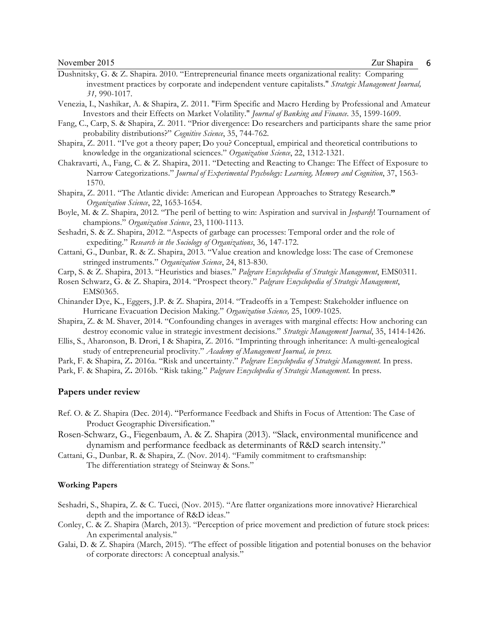- Dushnitsky, G. & Z. Shapira. 2010. "Entrepreneurial finance meets organizational reality: Comparing investment practices by corporate and independent venture capitalists." *Strategic Management Journal, 31,* 990-1017.
- Venezia, I., Nashikar, A. & Shapira, Z. 2011. "Firm Specific and Macro Herding by Professional and Amateur Investors and their Effects on Market Volatility." *Journal of Banking and Finance*. 35, 1599-1609.
- Fang, C., Carp, S. & Shapira, Z. 2011. "Prior divergence: Do researchers and participants share the same prior probability distributions?" *Cognitive Science*, 35, 744-762.
- Shapira, Z. 2011. "I've got a theory paper; Do you? Conceptual, empirical and theoretical contributions to knowledge in the organizational sciences." *Organization Science*, 22, 1312-1321.
- Chakravarti, A., Fang, C. & Z. Shapira, 2011. "Detecting and Reacting to Change: The Effect of Exposure to Narrow Categorizations." *Journal of Experimental Psychology: Learning, Memory and Cognition*, 37, 1563- 1570.
- Shapira, Z. 2011. "The Atlantic divide: American and European Approaches to Strategy Research.**"** *Organization Science*, 22, 1653-1654.
- Boyle, M. & Z. Shapira, 2012. "The peril of betting to win: Aspiration and survival in *Jeopardy*! Tournament of champions." *Organization Science*, 23, 1100-1113.
- Seshadri, S. & Z. Shapira, 2012. "Aspects of garbage can processes: Temporal order and the role of expediting." *Research in the Sociology of Organizations*, 36, 147-172.
- Cattani, G., Dunbar, R. & Z. Shapira, 2013. "Value creation and knowledge loss: The case of Cremonese stringed instruments." *Organization Science*, 24, 813-830.
- Carp, S. & Z. Shapira, 2013. "Heuristics and biases." *Palgrave Encyclopedia of Strategic Management*, EMS0311.
- Rosen Schwarz, G. & Z. Shapira, 2014. "Prospect theory." *Palgrave Encyclopedia of Strategic Management*, EMS0365.
- Chinander Dye, K., Eggers, J.P. & Z. Shapira, 2014. "Tradeoffs in a Tempest: Stakeholder influence on Hurricane Evacuation Decision Making." *Organization Science,* 25, 1009-1025.
- Shapira, Z. & M. Shaver, 2014. "Confounding changes in averages with marginal effects: How anchoring can destroy economic value in strategic investment decisions." *Strategic Management Journal*, 35, 1414-1426.
- Ellis, S., Aharonson, B. Drori, I & Shapira, Z. 2016. "Imprinting through inheritance: A multi-genealogical study of entrepreneurial proclivity." *Academy of Management Journal, in press.*
- Park, F. & Shapira, Z**.** 2016a. "Risk and uncertainty." *Palgrave Encyclopedia of Strategic Management.* In press. Park, F. & Shapira, Z**.** 2016b. "Risk taking." *Palgrave Encyclopedia of Strategic Management.* In press.

### **Papers under review**

- Ref. O. & Z. Shapira (Dec. 2014). "Performance Feedback and Shifts in Focus of Attention: The Case of Product Geographic Diversification."
- Rosen-Schwarz, G., Fiegenbaum, A. & Z. Shapira (2013). "Slack, environmental munificence and dynamism and performance feedback as determinants of R&D search intensity."
- Cattani, G., Dunbar, R. & Shapira, Z. (Nov. 2014). "Family commitment to craftsmanship: The differentiation strategy of Steinway & Sons."

## **Working Papers**

- Seshadri, S., Shapira, Z. & C. Tucci, (Nov. 2015). "Are flatter organizations more innovative? Hierarchical depth and the importance of R&D ideas."
- Conley, C. & Z. Shapira (March, 2013). "Perception of price movement and prediction of future stock prices: An experimental analysis."
- Galai, D. & Z. Shapira (March, 2015). "The effect of possible litigation and potential bonuses on the behavior of corporate directors: A conceptual analysis."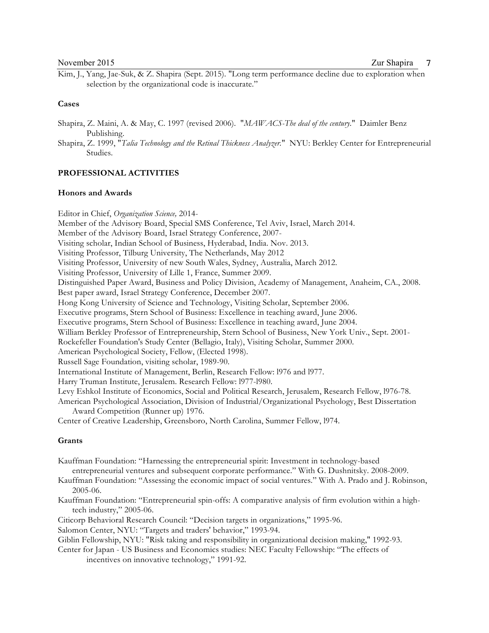Kim, J., Yang, Jae-Suk, & Z. Shapira (Sept. 2015). "Long term performance decline due to exploration when selection by the organizational code is inaccurate."

## **Cases**

- Shapira, Z. Maini, A. & May, C. 1997 (revised 2006). "*MAWACS-The deal of the century.*" Daimler Benz Publishing.
- Shapira, Z. 1999, "*Talia Technology and the Retinal Thickness Analyzer.*" NYU: Berkley Center for Entrepreneurial Studies.

#### **PROFESSIONAL ACTIVITIES**

## **Honors and Awards**

Editor in Chief, *Organization Science,* 2014*-* Member of the Advisory Board, Special SMS Conference, Tel Aviv, Israel, March 2014. Member of the Advisory Board, Israel Strategy Conference, 2007- Visiting scholar, Indian School of Business, Hyderabad, India. Nov. 2013. Visiting Professor, Tilburg University, The Netherlands, May 2012 Visiting Professor, University of new South Wales, Sydney, Australia, March 2012. Visiting Professor, University of Lille 1, France, Summer 2009. Distinguished Paper Award, Business and Policy Division, Academy of Management, Anaheim, CA., 2008. Best paper award, Israel Strategy Conference, December 2007. Hong Kong University of Science and Technology, Visiting Scholar, September 2006. Executive programs, Stern School of Business: Excellence in teaching award, June 2006. Executive programs, Stern School of Business: Excellence in teaching award, June 2004. William Berkley Professor of Entrepreneurship, Stern School of Business, New York Univ., Sept. 2001- Rockefeller Foundation's Study Center (Bellagio, Italy), Visiting Scholar, Summer 2000. American Psychological Society, Fellow, (Elected 1998). Russell Sage Foundation, visiting scholar, 1989-90. International Institute of Management, Berlin, Research Fellow: l976 and l977. Harry Truman Institute, Jerusalem. Research Fellow: l977-l980. Levy Eshkol Institute of Economics, Social and Political Research, Jerusalem, Research Fellow, l976-78. American Psychological Association, Division of Industrial/Organizational Psychology, Best Dissertation Award Competition (Runner up) 1976. Center of Creative Leadership, Greensboro, North Carolina, Summer Fellow, l974.

#### **Grants**

Kauffman Foundation: "Harnessing the entrepreneurial spirit: Investment in technology-based entrepreneurial ventures and subsequent corporate performance." With G. Dushnitsky. 2008-2009.

- Kauffman Foundation: "Assessing the economic impact of social ventures." With A. Prado and J. Robinson, 2005-06.
- Kauffman Foundation: "Entrepreneurial spin-offs: A comparative analysis of firm evolution within a hightech industry," 2005-06.
- Citicorp Behavioral Research Council: "Decision targets in organizations," 1995-96.

Salomon Center, NYU: "Targets and traders' behavior," 1993-94.

Giblin Fellowship, NYU: "Risk taking and responsibility in organizational decision making," 1992-93.

Center for Japan - US Business and Economics studies: NEC Faculty Fellowship: "The effects of incentives on innovative technology," 1991-92.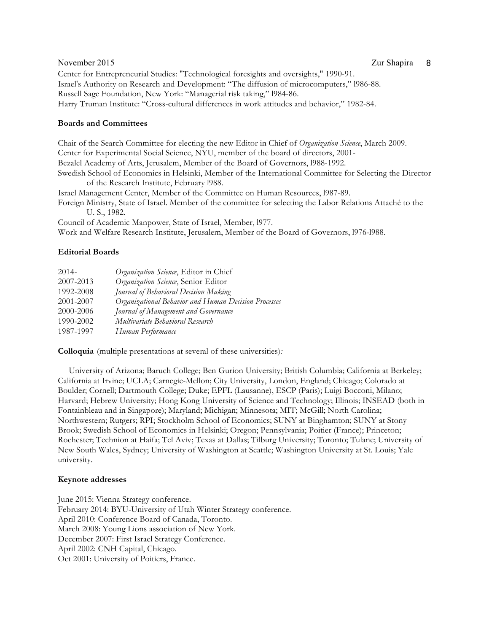### November 2015 **Zur Shapira 8**

Center for Entrepreneurial Studies: "Technological foresights and oversights," 1990-91. Israel's Authority on Research and Development: "The diffusion of microcomputers," l986-88. Russell Sage Foundation, New York: "Managerial risk taking," l984-86. Harry Truman Institute: "Cross-cultural differences in work attitudes and behavior," 1982-84.

## **Boards and Committees**

Chair of the Search Committee for electing the new Editor in Chief of *Organization Science*, March 2009. Center for Experimental Social Science, NYU, member of the board of directors, 2001- Bezalel Academy of Arts, Jerusalem, Member of the Board of Governors, l988-1992. Swedish School of Economics in Helsinki, Member of the International Committee for Selecting the Director of the Research Institute, February l988. Israel Management Center, Member of the Committee on Human Resources, l987-89. Foreign Ministry, State of Israel. Member of the committee for selecting the Labor Relations Attaché to the U. S., 1982.

Council of Academic Manpower, State of Israel, Member, l977. Work and Welfare Research Institute, Jerusalem, Member of the Board of Governors, l976-l988.

## **Editorial Boards**

| $2014-$   | Organization Science, Editor in Chief                |
|-----------|------------------------------------------------------|
| 2007-2013 | Organization Science, Senior Editor                  |
| 1992-2008 | Journal of Behavioral Decision Making                |
| 2001-2007 | Organizational Behavior and Human Decision Processes |
| 2000-2006 | Journal of Management and Governance                 |
| 1990-2002 | Multivariate Behavioral Research                     |
| 1987-1997 | Human Performance                                    |

**Colloquia**(multiple presentations at several of these universities)*:*

 University of Arizona; Baruch College; Ben Gurion University; British Columbia; California at Berkeley; California at Irvine; UCLA; Carnegie-Mellon; City University, London, England; Chicago; Colorado at Boulder; Cornell; Dartmouth College; Duke; EPFL (Lausanne), ESCP (Paris); Luigi Bocconi, Milano; Harvard; Hebrew University; Hong Kong University of Science and Technology; Illinois; INSEAD (both in Fontainbleau and in Singapore); Maryland; Michigan; Minnesota; MIT; McGill; North Carolina; Northwestern; Rutgers; RPI; Stockholm School of Economics; SUNY at Binghamton; SUNY at Stony Brook; Swedish School of Economics in Helsinki; Oregon; Pennsylvania; Poitier (France); Princeton; Rochester; Technion at Haifa; Tel Aviv; Texas at Dallas; Tilburg University; Toronto; Tulane; University of New South Wales, Sydney; University of Washington at Seattle; Washington University at St. Louis; Yale university.

## **Keynote addresses**

June 2015: Vienna Strategy conference. February 2014: BYU-University of Utah Winter Strategy conference. April 2010: Conference Board of Canada, Toronto. March 2008: Young Lions association of New York. December 2007: First Israel Strategy Conference. April 2002: CNH Capital, Chicago. Oct 2001: University of Poitiers, France.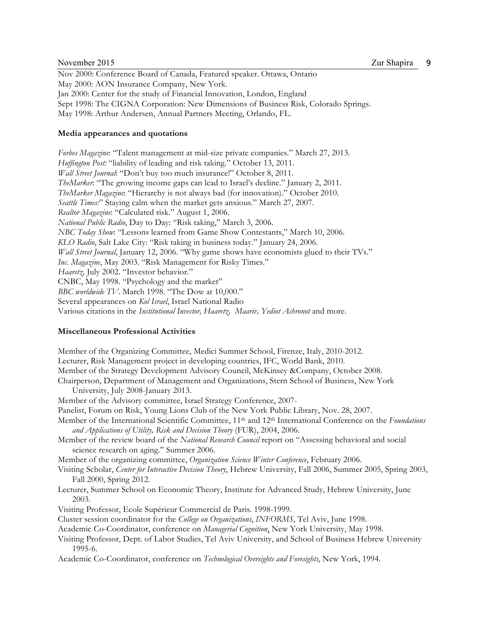Nov 2000: Conference Board of Canada, Featured speaker. Ottawa, Ontario May 2000: AON Insurance Company, New York. Jan 2000: Center for the study of Financial Innovation, London, England Sept 1998: The CIGNA Corporation: New Dimensions of Business Risk, Colorado Springs. May 1998: Arthur Andersen, Annual Partners Meeting, Orlando, FL.

## **Media appearances and quotations**

*Forbes Magazine*: "Talent management at mid-size private companies." March 27, 2013. *Huffington Post:* "liability of leading and risk taking." October 13, 2011. *Wall Street Journal*: "Don't buy too much insurance!" October 8, 2011. *TheMarker*: "The growing income gaps can lead to Israel's decline." January 2, 2011. *TheMarker Magazine*: "Hierarchy is not always bad (for innovation)." October 2010. *Seattle Times:*" Staying calm when the market gets anxious." March 27, 2007. *Realtor Magazine*: "Calculated risk." August 1, 2006. *National Public Radio*, Day to Day: "Risk taking," March 3, 2006. *NBC Today Show*: "Lessons learned from Game Show Contestants," March 10, 2006. *KLO Radio*, Salt Lake City: "Risk taking in business today." January 24, 2006. *Wall Street Journal*, January 12, 2006. "Why game shows have economists glued to their TVs." *Inc. Magazine*, May 2003. "Risk Management for Risky Times." *Haaretz,* July 2002. "Investor behavior." CNBC, May 1998. "Psychology and the market" *BBC worldwide TV*. March 1998. "The Dow at 10,000." Several appearances on *Kol Israel*, Israel National Radio Various citations in the *Institutional Investor, Haaretz, Maariv, Yediot Achronot* and more.

# **Miscellaneous Professional Activities**

Member of the Organizing Committee, Medici Summer School, Firenze, Italy, 2010-2012. Lecturer, Risk Management project in developing countries, IFC, World Bank, 2010. Member of the Strategy Development Advisory Council, McKinsey &Company, October 2008. Chairperson, Department of Management and Organizations, Stern School of Business, New York University, July 2008-January 2013. Member of the Advisory committee, Israel Strategy Conference, 2007- Panelist, Forum on Risk, Young Lions Club of the New York Public Library, Nov. 28, 2007. Member of the International Scientific Committee, 11th and 12th International Conference on the *Foundations and Applications of Utility, Risk and Decision Theory* (FUR), 2004, 2006. Member of the review board of the *National Research Council* report on "Assessing behavioral and social science research on aging." Summer 2006. Member of the organizing committee, *Organization Science Winter Conference*, February 2006. Visiting Scholar, *Center for Interactive Decision Theory*, Hebrew University, Fall 2006, Summer 2005, Spring 2003, Fall 2000, Spring 2012. Lecturer, Summer School on Economic Theory, Institute for Advanced Study, Hebrew University, June 2003. Visiting Professor, Ecole Supérieur Commercial de Paris. 1998-1999. Cluster session coordinator for the *College on Organizations*, *INFORMS*, Tel Aviv, June 1998. Academic Co-Coordinator, conference on *Managerial Cognition*, New York University, May 1998. Visiting Professor, Dept. of Labor Studies, Tel Aviv University, and School of Business Hebrew University 1995-6. Academic Co-Coordinator, conference on *Technological Oversights and Foresights*, New York, 1994.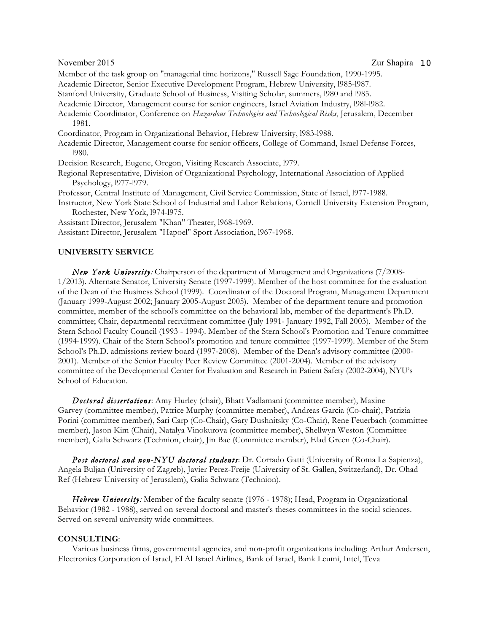Member of the task group on "managerial time horizons," Russell Sage Foundation, 1990-1995. Academic Director, Senior Executive Development Program, Hebrew University, l985-l987. Stanford University, Graduate School of Business, Visiting Scholar, summers, l980 and l985.

- Academic Director, Management course for senior engineers, Israel Aviation Industry, l98l-l982.
- Academic Coordinator, Conference on *Hazardous Technologies and Technological Risks*, Jerusalem, December 1981.
- Coordinator, Program in Organizational Behavior, Hebrew University, l983-l988.
- Academic Director, Management course for senior officers, College of Command, Israel Defense Forces, l980.
- Decision Research, Eugene, Oregon, Visiting Research Associate, l979.
- Regional Representative, Division of Organizational Psychology, International Association of Applied Psychology, l977-l979.
- Professor, Central Institute of Management, Civil Service Commission, State of Israel, l977-1988.
- Instructor, New York State School of Industrial and Labor Relations, Cornell University Extension Program, Rochester, New York, l974-l975.
- Assistant Director, Jerusalem "Khan" Theater, l968-1969.

Assistant Director, Jerusalem "Hapoel" Sport Association, l967-1968.

## **UNIVERSITY SERVICE**

*New York University:* Chairperson of the department of Management and Organizations (7/2008- 1/2013). Alternate Senator, University Senate (1997-1999). Member of the host committee for the evaluation of the Dean of the Business School (1999). Coordinator of the Doctoral Program, Management Department (January 1999-August 2002; January 2005-August 2005). Member of the department tenure and promotion committee, member of the school's committee on the behavioral lab, member of the department's Ph.D. committee; Chair, departmental recruitment committee (July 1991- January 1992, Fall 2003). Member of the Stern School Faculty Council (1993 - 1994). Member of the Stern School's Promotion and Tenure committee (1994-1999). Chair of the Stern School's promotion and tenure committee (1997-1999). Member of the Stern School's Ph.D. admissions review board (1997-2008). Member of the Dean's advisory committee (2000- 2001). Member of the Senior Faculty Peer Review Committee (2001-2004). Member of the advisory committee of the Developmental Center for Evaluation and Research in Patient Safety (2002-2004), NYU's School of Education.

*Doctoral dissertations*: Amy Hurley (chair), Bhatt Vadlamani (committee member), Maxine Garvey (committee member), Patrice Murphy (committee member), Andreas Garcia (Co-chair), Patrizia Porini (committee member), Sari Carp (Co-Chair), Gary Dushnitsky (Co-Chair), Rene Feuerbach (committee member), Jason Kim (Chair), Natalya Vinokurova (committee member), Shellwyn Weston (Committee member), Galia Schwarz (Technion, chair), Jin Bae (Committee member), Elad Green (Co-Chair).

*Post doctoral and non-NYU doctoral students*: Dr. Corrado Gatti (University of Roma La Sapienza), Angela Buljan (University of Zagreb), Javier Perez-Freije (University of St. Gallen, Switzerland), Dr. Ohad Ref (Hebrew University of Jerusalem), Galia Schwarz (Technion).

*Hebrew University:* Member of the faculty senate (1976 - 1978); Head, Program in Organizational Behavior (1982 - 1988), served on several doctoral and master's theses committees in the social sciences. Served on several university wide committees.

#### **CONSULTING**:

Various business firms, governmental agencies, and non-profit organizations including: Arthur Andersen, Electronics Corporation of Israel, El Al Israel Airlines, Bank of Israel, Bank Leumi, Intel, Teva